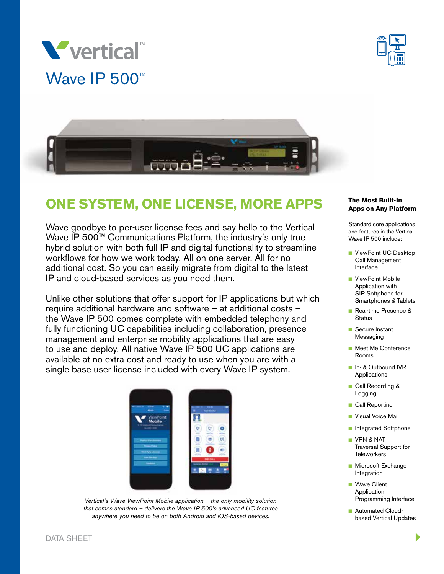





# **ONE SYSTEM, ONE LICENSE, MORE APPS**

Wave goodbye to per-user license fees and say hello to the Vertical Wave IP 500™ Communications Platform, the industry's only true hybrid solution with both full IP and digital functionality to streamline workflows for how we work today. All on one server. All for no additional cost. So you can easily migrate from digital to the latest IP and cloud-based services as you need them.

Unlike other solutions that offer support for IP applications but which require additional hardware and software – at additional costs – the Wave IP 500 comes complete with embedded telephony and fully functioning UC capabilities including collaboration, presence management and enterprise mobility applications that are easy to use and deploy. All native Wave IP 500 UC applications are available at no extra cost and ready to use when you are with a single base user license included with every Wave IP system.



*Vertical's Wave ViewPoint Mobile application – the only mobility solution that comes standard – delivers the Wave IP 500's advanced UC features anywhere you need to be on both Android and iOS-based devices.*

#### **The Most Built-In Apps on Any Platform**

Standard core applications and features in the Vertical Wave IP 500 include:

- ViewPoint UC Desktop Call Management Interface
- ViewPoint Mobile Application with SIP Softphone for Smartphones & Tablets
- Real-time Presence & **Status**
- Secure Instant Messaging
- **n** Meet Me Conference Rooms
- n In- & Outbound IVR Applications
- **n** Call Recording & Logging
- **n** Call Reporting
- **N** Visual Voice Mail
- Integrated Softphone
- **N** VPN & NAT Traversal Support for **Teleworkers**
- **n** Microsoft Exchange Integration
- Wave Client Application Programming Interface
- **n** Automated Cloudbased Vertical Updates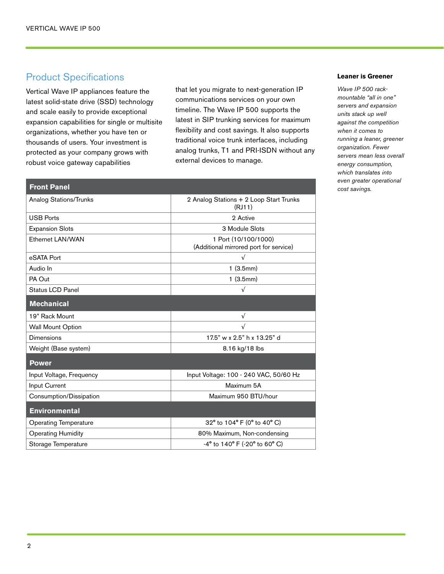**Front Panel**

## Product Specifications

Vertical Wave IP appliances feature the latest solid-state drive (SSD) technology and scale easily to provide exceptional expansion capabilities for single or multisite organizations, whether you have ten or thousands of users. Your investment is protected as your company grows with robust voice gateway capabilities

that let you migrate to next-generation IP communications services on your own timeline. The Wave IP 500 supports the latest in SIP trunking services for maximum flexibility and cost savings. It also supports traditional voice trunk interfaces, including analog trunks, T1 and PRI-ISDN without any external devices to manage.

### Analog Stations/Trunks 2 Analog Stations + 2 Loop Start Trunks (RJ11) USB Ports 2 Active Expansion Slots 3 Module Slots Ethernet LAN/WAN 1 Port (10/100/1000) (Additional mirrored port for service) eSATA Port √ Audio In the contract of the contract of the contract of the contract of the contract of the contract of the contract of the contract of the contract of the contract of the contract of the contract of the contract of the c PA Out 1 (3.5mm) Status LCD Panel √ 19" Rack Mount √ Wall Mount Option  $\sqrt{2}$ Dimensions 17.5" w x 2.5" h x 13.25" d Weight (Base system) 8.16 kg/18 lbs Input Voltage, Frequency **Input Voltage: 100 - 240 VAC, 50/60 Hz** Input Current Maximum 5A Consumption/Dissipation Maximum 950 BTU/hour Operating Temperature 200 and  $32^{\circ}$  to 104° F (0° to 40° C) Operating Humidity 80% Maximum, Non-condensing Storage Temperature  $-4^{\circ}$  to 140° F (-20° to 60° C) **Mechanical Power Environmental**

#### **Leaner is Greener**

*Wave IP 500 rackmountable "all in one" servers and expansion units stack up well against the competition when it comes to running a leaner, greener organization. Fewer servers mean less overall energy consumption, which translates into even greater operational cost savings.*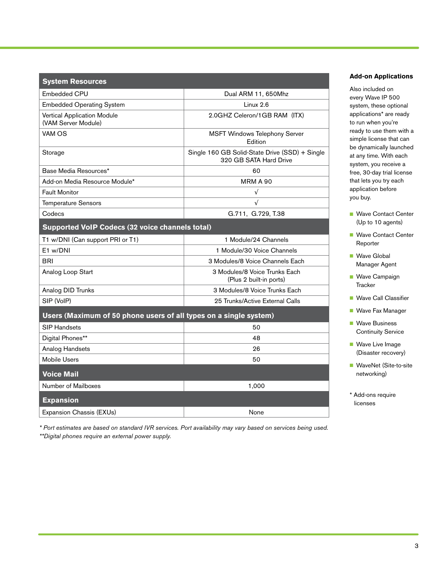| <b>System Resources</b>                                           |                                                                          |
|-------------------------------------------------------------------|--------------------------------------------------------------------------|
| <b>Embedded CPU</b>                                               | Dual ARM 11, 650Mhz                                                      |
| <b>Embedded Operating System</b>                                  | Linux 2.6                                                                |
| Vertical Application Module<br>(VAM Server Module)                | 2.0GHZ Celeron/1GB RAM (ITX)                                             |
| VAM OS                                                            | <b>MSFT Windows Telephony Server</b><br>Edition                          |
| Storage                                                           | Single 160 GB Solid-State Drive (SSD) + Single<br>320 GB SATA Hard Drive |
| Base Media Resources*                                             | 60                                                                       |
| Add-on Media Resource Module*                                     | <b>MRM A 90</b>                                                          |
| <b>Fault Monitor</b>                                              | $\sqrt{ }$                                                               |
| <b>Temperature Sensors</b>                                        | $\sqrt{ }$                                                               |
| Codecs                                                            | G.711, G.729, T.38                                                       |
| <b>Supported VoIP Codecs (32 voice channels total)</b>            |                                                                          |
| T1 w/DNI (Can support PRI or T1)                                  | 1 Module/24 Channels                                                     |
| E1 w/DNI                                                          | 1 Module/30 Voice Channels                                               |
| <b>BRI</b>                                                        | 3 Modules/8 Voice Channels Each                                          |
| Analog Loop Start                                                 | 3 Modules/8 Voice Trunks Each<br>(Plus 2 built-in ports)                 |
| Analog DID Trunks                                                 | 3 Modules/8 Voice Trunks Each                                            |
| SIP (VoIP)                                                        | 25 Trunks/Active External Calls                                          |
| Users (Maximum of 50 phone users of all types on a single system) |                                                                          |
| <b>SIP Handsets</b>                                               | 50                                                                       |
| Digital Phones**                                                  | 48                                                                       |
| Analog Handsets                                                   | 26                                                                       |
| <b>Mobile Users</b>                                               | 50                                                                       |
| <b>Voice Mail</b>                                                 |                                                                          |
| Number of Mailboxes                                               | 1,000                                                                    |
| <b>Expansion</b>                                                  |                                                                          |
| Expansion Chassis (EXUs)                                          | None                                                                     |

**Add-on Applications**

Also included on every Wave IP 500 system, these optional applications\* are ready to run when you're ready to use them with a simple license that can be dynamically launched at any time. With each system, you receive a free, 30-day trial license that lets you try each application before you buy.

- Wave Contact Center (Up to 10 agents)
- Wave Contact Center Reporter
- **Nave Global** Manager Agent
- **Nave Campaign Tracker**
- Wave Call Classifier
- **Nave Fax Manager**
- **Nave Business** Continuity Service
- **Nave Live Image** (Disaster recovery)
- WaveNet (Site-to-site networking)
- \* Add-ons require licenses

*\* Port estimates are based on standard IVR services. Port availability may vary based on services being used. \*\*Digital phones require an external power supply.*